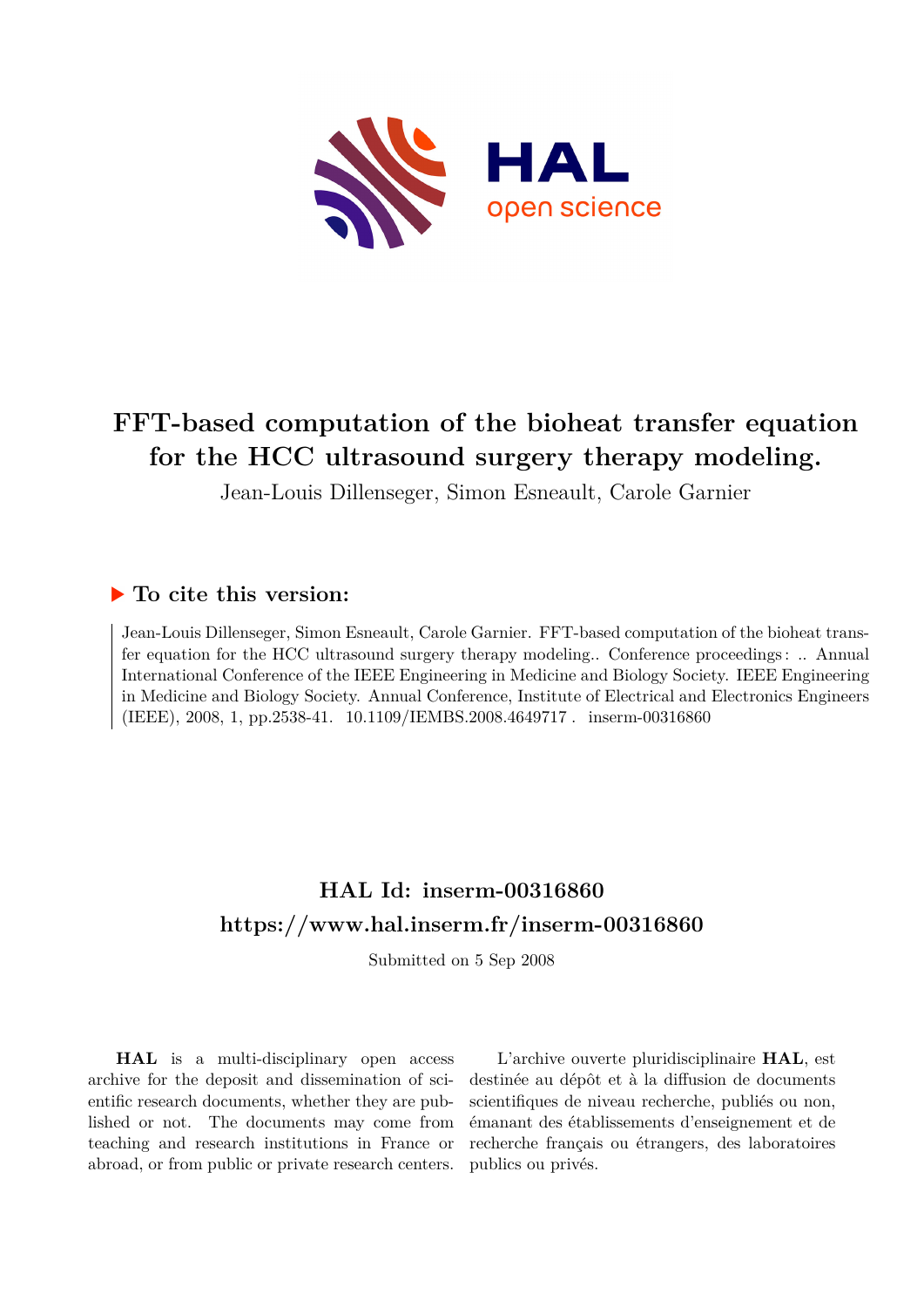

# **FFT-based computation of the bioheat transfer equation for the HCC ultrasound surgery therapy modeling.**

Jean-Louis Dillenseger, Simon Esneault, Carole Garnier

# **To cite this version:**

Jean-Louis Dillenseger, Simon Esneault, Carole Garnier. FFT-based computation of the bioheat transfer equation for the HCC ultrasound surgery therapy modeling.. Conference proceedings : .. Annual International Conference of the IEEE Engineering in Medicine and Biology Society. IEEE Engineering in Medicine and Biology Society. Annual Conference, Institute of Electrical and Electronics Engineers (IEEE), 2008, 1, pp.2538-41. 10.1109/IEMBS.2008.4649717. inserm-00316860

# **HAL Id: inserm-00316860 <https://www.hal.inserm.fr/inserm-00316860>**

Submitted on 5 Sep 2008

**HAL** is a multi-disciplinary open access archive for the deposit and dissemination of scientific research documents, whether they are published or not. The documents may come from teaching and research institutions in France or abroad, or from public or private research centers.

L'archive ouverte pluridisciplinaire **HAL**, est destinée au dépôt et à la diffusion de documents scientifiques de niveau recherche, publiés ou non, émanant des établissements d'enseignement et de recherche français ou étrangers, des laboratoires publics ou privés.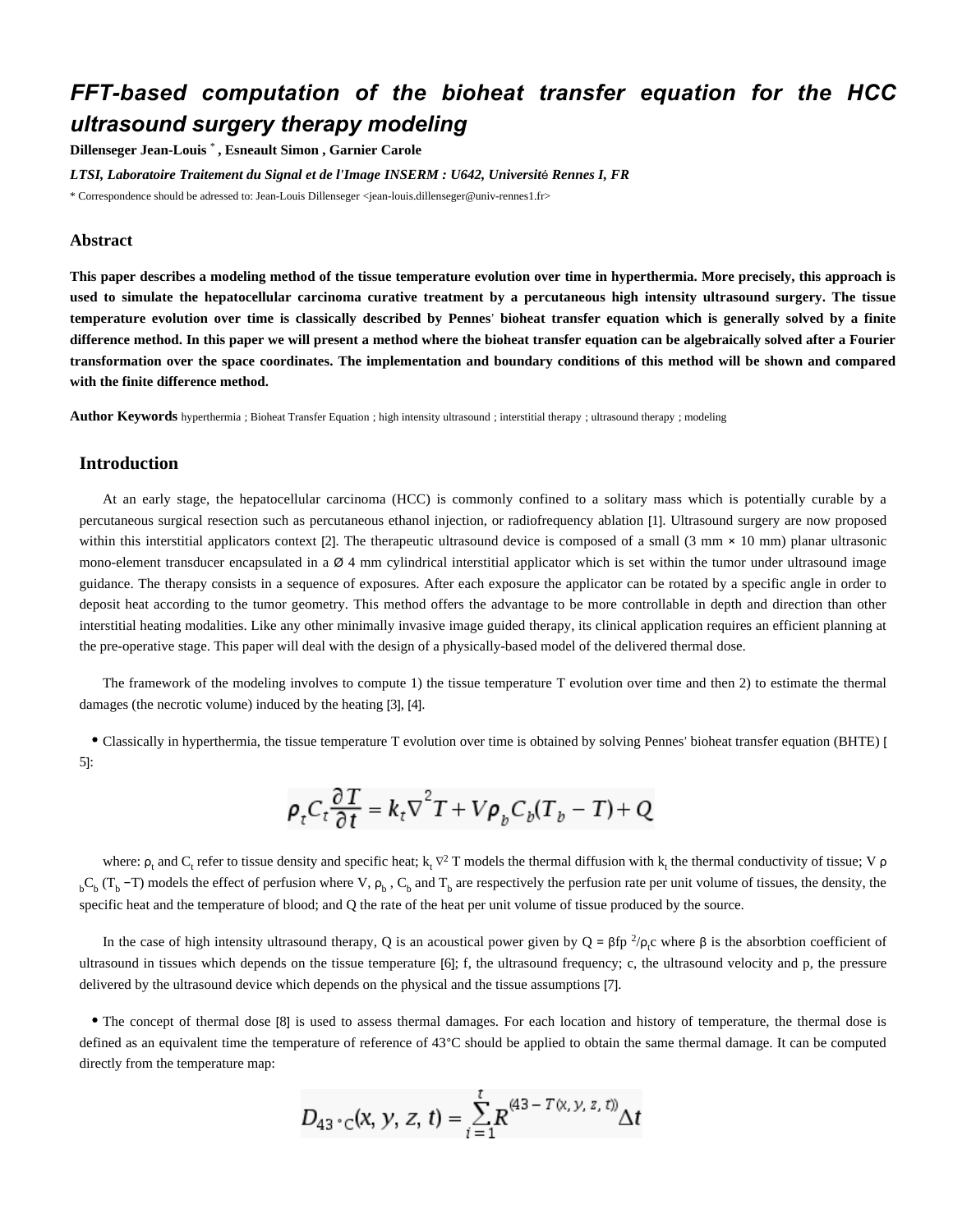# *FFT-based computation of the bioheat transfer equation for the HCC ultrasound surgery therapy modeling*

**Dillenseger Jean-Louis** \* **, Esneault Simon , Garnier Carole**

*LTSI, Laboratoire Traitement du Signal et de l'Image INSERM : U642, Universit*é *Rennes I, FR*

\* Correspondence should be adressed to: Jean-Louis Dillenseger <jean-louis.dillenseger@univ-rennes1.fr>

#### **Abstract**

**This paper describes a modeling method of the tissue temperature evolution over time in hyperthermia. More precisely, this approach is used to simulate the hepatocellular carcinoma curative treatment by a percutaneous high intensity ultrasound surgery. The tissue temperature evolution over time is classically described by Pennes**' **bioheat transfer equation which is generally solved by a finite difference method. In this paper we will present a method where the bioheat transfer equation can be algebraically solved after a Fourier transformation over the space coordinates. The implementation and boundary conditions of this method will be shown and compared with the finite difference method.**

**Author Keywords** hyperthermia ; Bioheat Transfer Equation ; high intensity ultrasound ; interstitial therapy ; ultrasound therapy ; modeling

#### **Introduction**

At an early stage, the hepatocellular carcinoma (HCC) is commonly confined to a solitary mass which is potentially curable by a percutaneous surgical resection such as percutaneous ethanol injection, or radiofrequency ablation [1]. Ultrasound surgery are now proposed within this interstitial applicators context [2]. The therapeutic ultrasound device is composed of a small  $(3 \text{ mm} \times 10 \text{ mm})$  planar ultrasonic mono-element transducer encapsulated in a  $\varnothing$  4 mm cylindrical interstitial applicator which is set within the tumor under ultrasound image guidance. The therapy consists in a sequence of exposures. After each exposure the applicator can be rotated by a specific angle in order to deposit heat according to the tumor geometry. This method offers the advantage to be more controllable in depth and direction than other interstitial heating modalities. Like any other minimally invasive image guided therapy, its clinical application requires an efficient planning at the pre-operative stage. This paper will deal with the design of a physically-based model of the delivered thermal dose.

The framework of the modeling involves to compute 1) the tissue temperature T evolution over time and then 2) to estimate the thermal damages (the necrotic volume) induced by the heating [3], [4].

Classically in hyperthermia, the tissue temperature T evolution over time is obtained by solving Pennes' bioheat transfer equation (BHTE) [ 5]:

$$
\rho_t C_t \frac{\partial T}{\partial t} = k_t \nabla^2 T + V \rho_b C_b (T_b - T) + Q
$$

where:  $\rho_t$  and C<sub>t</sub> refer to tissue density and specific heat;  $k_t \nabla^2 T$  models the thermal diffusion with  $k_t$  the thermal conductivity of tissue; V  $\rho$  ${}_{b}C_{b}$  (T<sub>b</sub> -T) models the effect of perfusion where V,  $\rho_{b}$ , C<sub>b</sub> and T<sub>b</sub> are respectively the perfusion rate per unit volume of tissues, the density, the specific heat and the temperature of blood; and Q the rate of the heat per unit volume of tissue produced by the source.

In the case of high intensity ultrasound therapy, Q is an acoustical power given by  $Q = \beta f p^2/\rho_c$  where  $\beta$  is the absorbtion coefficient of ultrasound in tissues which depends on the tissue temperature [6]; f, the ultrasound frequency; c, the ultrasound velocity and p, the pressure delivered by the ultrasound device which depends on the physical and the tissue assumptions [7].

The concept of thermal dose [8] is used to assess thermal damages. For each location and history of temperature, the thermal dose is defined as an equivalent time the temperature of reference of 43°C should be applied to obtain the same thermal damage. It can be computed directly from the temperature map:

$$
D_{43 \text{ }^{\circ} \text{C}}(x, y, z, t) = \sum_{i=1}^{t} R^{(43 - T(x, y, z, t))} \Delta t
$$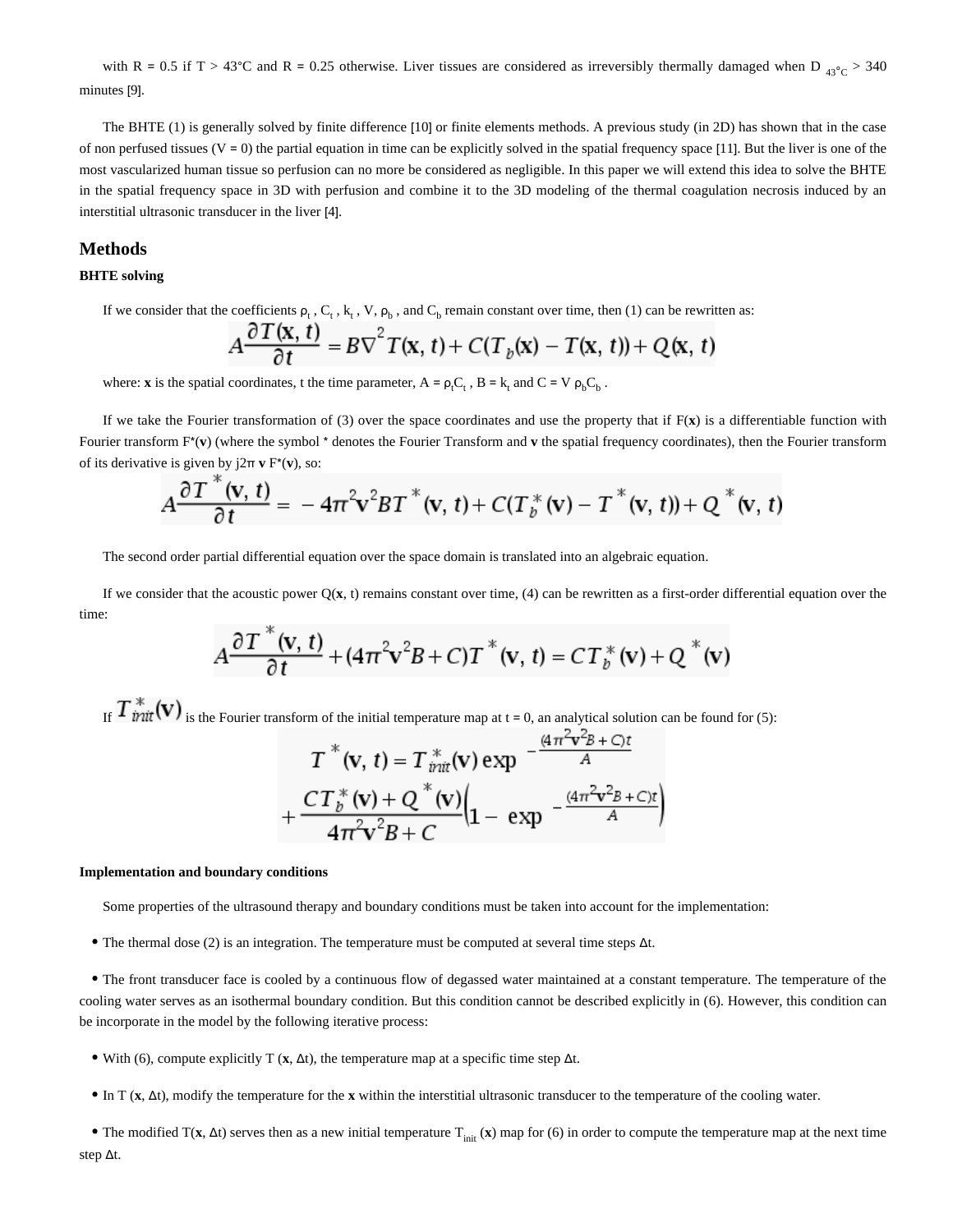with R = 0.5 if T > 43°C and R = 0.25 otherwise. Liver tissues are considered as irreversibly thermally damaged when D  $_{43\degree}$ C > 340 minutes [9].

The BHTE (1) is generally solved by finite difference [10] or finite elements methods. A previous study (in 2D) has shown that in the case of non perfused tissues  $(V = 0)$  the partial equation in time can be explicitly solved in the spatial frequency space [11]. But the liver is one of the most vascularized human tissue so perfusion can no more be considered as negligible. In this paper we will extend this idea to solve the BHTE in the spatial frequency space in 3D with perfusion and combine it to the 3D modeling of the thermal coagulation necrosis induced by an interstitial ultrasonic transducer in the liver [4].

### **Methods**

#### **BHTE solving**

If we consider that the coefficients  $\rho_t$ ,  $C_t$ ,  $k_t$ ,  $V$ ,  $\rho_b$ , and  $C_b$  remain constant over time, then (1) can be rewritten as:

$$
A\frac{\partial T(\mathbf{x},t)}{\partial t} = B\nabla^2 T(\mathbf{x},t) + C(T_b(\mathbf{x}) - T(\mathbf{x},t)) + Q(\mathbf{x},t)
$$

where: **x** is the spatial coordinates, t the time parameter,  $A = \rho_t C_t$ ,  $B = k_t$  and  $C = V \rho_b C_b$ .

If we take the Fourier transformation of (3) over the space coordinates and use the property that if  $F(x)$  is a differentiable function with Fourier transform F\*(**v**) (where the symbol \* denotes the Fourier Transform and **v** the spatial frequency coordinates), then the Fourier transform of its derivative is given by j2π **v** F\*(**v**), so:

$$
A\frac{\partial T^{\alpha}(\mathbf{v},t)}{\partial t} = -4\pi^{2}\mathbf{v}^{2}BT^{\ast}(\mathbf{v},t) + C(T_{b}^{\ast}(\mathbf{v}) - T^{\ast}(\mathbf{v},t)) + Q^{\ast}(\mathbf{v},t)
$$

The second order partial differential equation over the space domain is translated into an algebraic equation.

If we consider that the acoustic power  $Q(x, t)$  remains constant over time, (4) can be rewritten as a first-order differential equation over the time:

$$
A\frac{\partial T^*(\mathbf{v},t)}{\partial t} + (4\pi^2 \mathbf{v}^2 B + C)T^*(\mathbf{v},t) = CT_b^*(\mathbf{v}) + Q^*(\mathbf{v})
$$

If  $T^*_{init}(v)$  is the Fourier transform of the initial temperature map at t = 0, an analytical solution can be found for (5):

$$
T^*(v, t) = T^*_{init}(v) \exp \left(-\frac{(4\pi v^2 + C)t}{A}\right) + \frac{CT^*_b(v) + Q^*(v)}{4\pi^2 v^2 + C} \left(1 - \exp \left(-\frac{(4\pi^2 v^2 + C)t}{A}\right)\right)
$$

#### **Implementation and boundary conditions**

Some properties of the ultrasound therapy and boundary conditions must be taken into account for the implementation:

The thermal dose (2) is an integration. The temperature must be computed at several time steps Δt.

The front transducer face is cooled by a continuous flow of degassed water maintained at a constant temperature. The temperature of the cooling water serves as an isothermal boundary condition. But this condition cannot be described explicitly in (6). However, this condition can be incorporate in the model by the following iterative process:

- With (6), compute explicitly T (**x**, Δt), the temperature map at a specific time step Δt.
- In T (**x**, Δt), modify the temperature for the **x** within the interstitial ultrasonic transducer to the temperature of the cooling water.

The modified  $T(x, \Delta t)$  serves then as a new initial temperature  $T_{init}(x)$  map for (6) in order to compute the temperature map at the next time step Δt.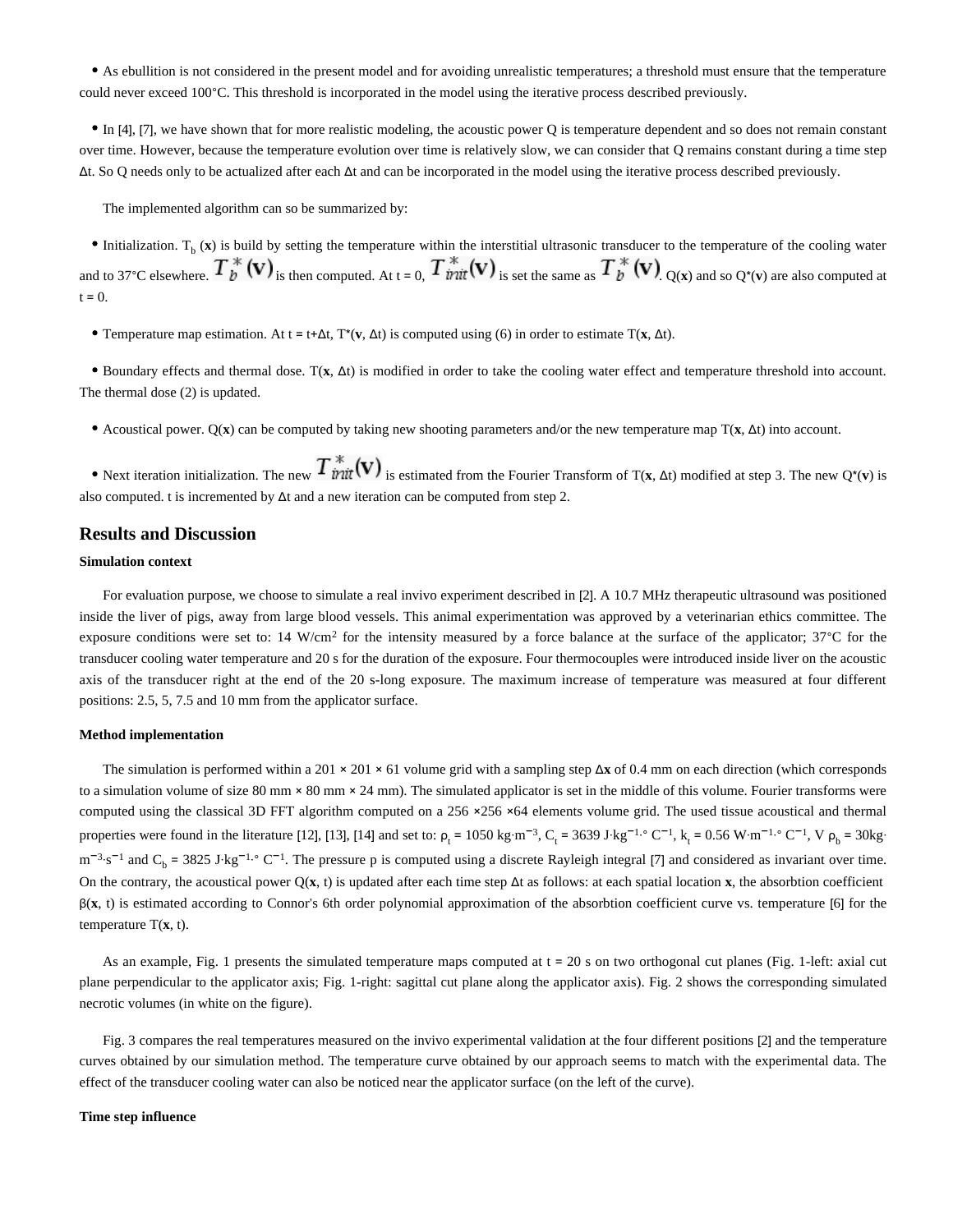As ebullition is not considered in the present model and for avoiding unrealistic temperatures; a threshold must ensure that the temperature could never exceed 100°C. This threshold is incorporated in the model using the iterative process described previously.

In [4], [7], we have shown that for more realistic modeling, the acoustic power Q is temperature dependent and so does not remain constant over time. However, because the temperature evolution over time is relatively slow, we can consider that Q remains constant during a time step Δt. So Q needs only to be actualized after each Δt and can be incorporated in the model using the iterative process described previously.

The implemented algorithm can so be summarized by:

Initialization.  $T<sub>b</sub>$  (x) is build by setting the temperature within the interstitial ultrasonic transducer to the temperature of the cooling water and to 37°C elsewhere.  $T_b^*$  (v) is then computed. At t = 0,  $T_{init}^*$  (v) is set the same as  $T_b^*$  (v)  $_{Q(x)}$  and so  $_{Q*(v)}$  are also computed at  $t = 0$ .

Temperature map estimation. At t = t+Δt, T\*(**v**, Δt) is computed using (6) in order to estimate T(**x**, Δt).

Boundary effects and thermal dose. T(**x**, Δt) is modified in order to take the cooling water effect and temperature threshold into account. The thermal dose (2) is updated.

Acoustical power. Q(**x**) can be computed by taking new shooting parameters and/or the new temperature map T(**x**, Δt) into account.

• Next iteration initialization. The new  $T^*_{init}(v)$  is estimated from the Fourier Transform of T(**x**, Δt) modified at step 3. The new Q<sup>\*</sup>(**v**) is also computed. t is incremented by Δt and a new iteration can be computed from step 2.

#### **Results and Discussion**

#### **Simulation context**

For evaluation purpose, we choose to simulate a real invivo experiment described in [2]. A 10.7 MHz therapeutic ultrasound was positioned inside the liver of pigs, away from large blood vessels. This animal experimentation was approved by a veterinarian ethics committee. The exposure conditions were set to: 14 W/cm<sup>2</sup> for the intensity measured by a force balance at the surface of the applicator;  $37^{\circ}$ C for the transducer cooling water temperature and 20 s for the duration of the exposure. Four thermocouples were introduced inside liver on the acoustic axis of the transducer right at the end of the 20 s-long exposure. The maximum increase of temperature was measured at four different positions: 2.5, 5, 7.5 and 10 mm from the applicator surface.

#### **Method implementation**

The simulation is performed within a 201 × 201 × 61 volume grid with a sampling step Δ**x** of 0.4 mm on each direction (which corresponds to a simulation volume of size 80 mm  $\times$  80 mm  $\times$  24 mm). The simulated applicator is set in the middle of this volume. Fourier transforms were computed using the classical 3D FFT algorithm computed on a 256 ×256 ×64 elements volume grid. The used tissue acoustical and thermal properties were found in the literature [12], [13], [14] and set to:  $\rho_t = 1050 \text{ kg} \cdot \text{m}^{-3}$ ,  $C_t = 3639 \text{ J} \cdot \text{kg}^{-1} \cdot \text{C}^{-1}$ ,  $k_t = 0.56 \text{ W} \cdot \text{m}^{-1} \cdot \text{C}^{-1}$ ,  $V \rho_b = 30 \text{ kg} \cdot \text{m}^{-1}$  $m^{-3} s^{-1}$  and  $C_b = 3825$  J·kg<sup>-1</sup>. $\degree$  C<sup>-1</sup>. The pressure p is computed using a discrete Rayleigh integral [7] and considered as invariant over time. On the contrary, the acoustical power Q(**x**, t) is updated after each time step Δt as follows: at each spatial location **x**, the absorbtion coefficient β(**x**, t) is estimated according to Connor's 6th order polynomial approximation of the absorbtion coefficient curve vs. temperature [6] for the temperature T(**x**, t).

As an example, Fig. 1 presents the simulated temperature maps computed at  $t = 20$  s on two orthogonal cut planes (Fig. 1-left: axial cut plane perpendicular to the applicator axis; Fig. 1-right: sagittal cut plane along the applicator axis). Fig. 2 shows the corresponding simulated necrotic volumes (in white on the figure).

Fig. 3 compares the real temperatures measured on the invivo experimental validation at the four different positions [2] and the temperature curves obtained by our simulation method. The temperature curve obtained by our approach seems to match with the experimental data. The effect of the transducer cooling water can also be noticed near the applicator surface (on the left of the curve).

#### **Time step influence**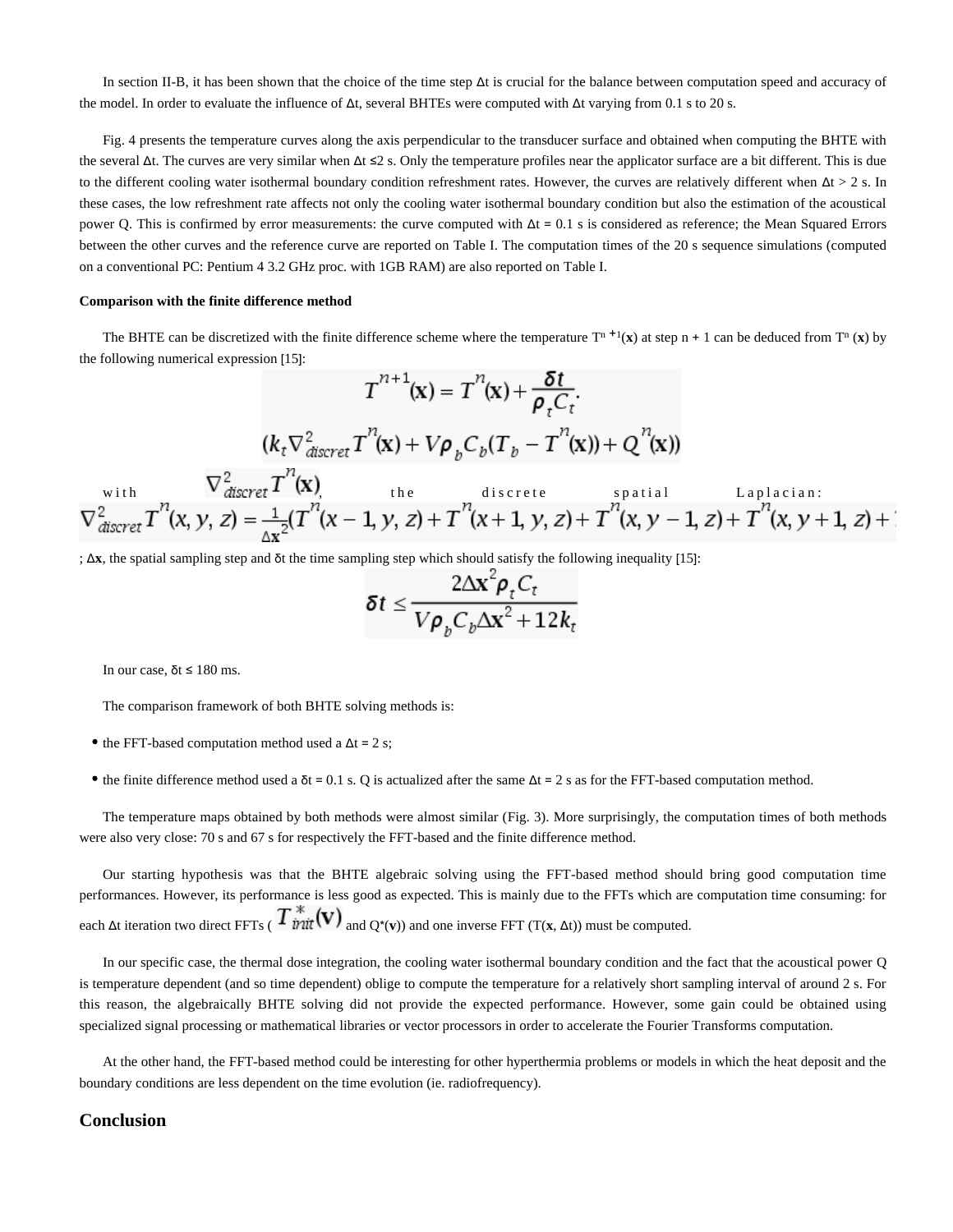In section II-B, it has been shown that the choice of the time step Δt is crucial for the balance between computation speed and accuracy of the model. In order to evaluate the influence of Δt, several BHTEs were computed with Δt varying from 0.1 s to 20 s.

Fig. 4 presents the temperature curves along the axis perpendicular to the transducer surface and obtained when computing the BHTE with the several  $\Delta t$ . The curves are very similar when  $\Delta t \leq 2$  s. Only the temperature profiles near the applicator surface are a bit different. This is due to the different cooling water isothermal boundary condition refreshment rates. However, the curves are relatively different when  $\Delta t > 2$  s. In these cases, the low refreshment rate affects not only the cooling water isothermal boundary condition but also the estimation of the acoustical power Q. This is confirmed by error measurements: the curve computed with  $Δt = 0.1$  s is considered as reference; the Mean Squared Errors between the other curves and the reference curve are reported on Table I. The computation times of the 20 s sequence simulations (computed on a conventional PC: Pentium 4 3.2 GHz proc. with 1GB RAM) are also reported on Table I.

#### **Comparison with the finite difference method**

The BHTE can be discretized with the finite difference scheme where the temperature  $T^{n+1}(x)$  at step  $n + 1$  can be deduced from  $T^n(x)$  by the following numerical expression [15]:

$$
T^{n+1}(\mathbf{x}) = T^{n}(\mathbf{x}) + \frac{\delta t}{\rho_{t} C_{t}}.
$$
\n
$$
(k_{t} \nabla_{discret}^{2} T^{n}(\mathbf{x}) + V\rho_{b} C_{b} (T_{b} - T^{n}(\mathbf{x})) + Q^{n}(\mathbf{x}))
$$
\nwith\n
$$
\nabla_{discret}^{2} T^{n}(\mathbf{x})
$$
\nthe discrete spatial Laplacian:\n
$$
\nabla_{discret}^{2} T^{n}(\mathbf{x}, \mathbf{y}, \mathbf{z}) = \frac{1}{\Delta \mathbf{x}^{2}} (T^{n}(\mathbf{x} - \mathbf{1}, \mathbf{y}, \mathbf{z}) + T^{n}(\mathbf{x} + \mathbf{1}, \mathbf{y}, \mathbf{z}) + T^{n}(\mathbf{x}, \mathbf{y} - \mathbf{1}, \mathbf{z}) + T^{n}(\mathbf{x}, \mathbf{y} + \mathbf{1}, \mathbf{z}) + T^{n}(\mathbf{x}, \mathbf{y} - \mathbf{1}, \mathbf{z}) + T^{n}(\mathbf{x}, \mathbf{y} - \mathbf{1}, \mathbf{z}) + T^{n}(\mathbf{x}, \mathbf{y} - \mathbf{1}, \mathbf{z}) + T^{n}(\mathbf{x}, \mathbf{y} - \mathbf{1}, \mathbf{z}) + T^{n}(\mathbf{x}, \mathbf{y} - \mathbf{1}, \mathbf{z}) + T^{n}(\mathbf{x}, \mathbf{y} - \mathbf{1}, \mathbf{z}) + T^{n}(\mathbf{x}, \mathbf{y} - \mathbf{1}, \mathbf{z}) + T^{n}(\mathbf{x}, \mathbf{y} - \mathbf{1}, \mathbf{z}) + T^{n}(\mathbf{x}, \mathbf{y} - \mathbf{1}, \mathbf{z}) + T^{n}(\mathbf{x}, \mathbf{y} - \mathbf{1}, \mathbf{z}) + T^{n}(\mathbf{x}, \mathbf{y} - \mathbf{1}, \mathbf{z}) + T^{n}(\mathbf{x}, \mathbf{y} - \mathbf{1}, \mathbf{z}) + T^{n}(\mathbf{x}, \mathbf{y} - \mathbf{1}, \mathbf{z}) + T^{n}(\mathbf{x}, \mathbf{y} - \mathbf{1}, \mathbf{z}) + T^{n}(\mathbf{x}, \mathbf{y} - \mathbf{1}, \mathbf{z}) + T^{n}
$$

; Δ**x**, the spatial sampling step and δt the time sampling step which should satisfy the following inequality [15]:

$$
\delta t \leq \frac{2\Delta x^2 \rho_t C_t}{V \rho_b C_b \Delta x^2 + 12k_t}
$$

In our case,  $\delta t \leq 180$  ms.

The comparison framework of both BHTE solving methods is:

- the FFT-based computation method used a  $\Delta t = 2$  s;
- the finite difference method used a  $\delta t = 0.1$  s. Q is actualized after the same  $\Delta t = 2$  s as for the FFT-based computation method.

The temperature maps obtained by both methods were almost similar (Fig. 3). More surprisingly, the computation times of both methods were also very close: 70 s and 67 s for respectively the FFT-based and the finite difference method.

Our starting hypothesis was that the BHTE algebraic solving using the FFT-based method should bring good computation time performances. However, its performance is less good as expected. This is mainly due to the FFTs which are computation time consuming: for each  $\Delta t$  iteration two direct FFTs ( $T \frac{\pi}{\nu}$   $(\mathbf{V})$  and  $Q^*(\mathbf{v})$ ) and one inverse FFT (T(**x**,  $\Delta t$ )) must be computed.

In our specific case, the thermal dose integration, the cooling water isothermal boundary condition and the fact that the acoustical power Q is temperature dependent (and so time dependent) oblige to compute the temperature for a relatively short sampling interval of around 2 s. For this reason, the algebraically BHTE solving did not provide the expected performance. However, some gain could be obtained using specialized signal processing or mathematical libraries or vector processors in order to accelerate the Fourier Transforms computation.

At the other hand, the FFT-based method could be interesting for other hyperthermia problems or models in which the heat deposit and the boundary conditions are less dependent on the time evolution (ie. radiofrequency).

### **Conclusion**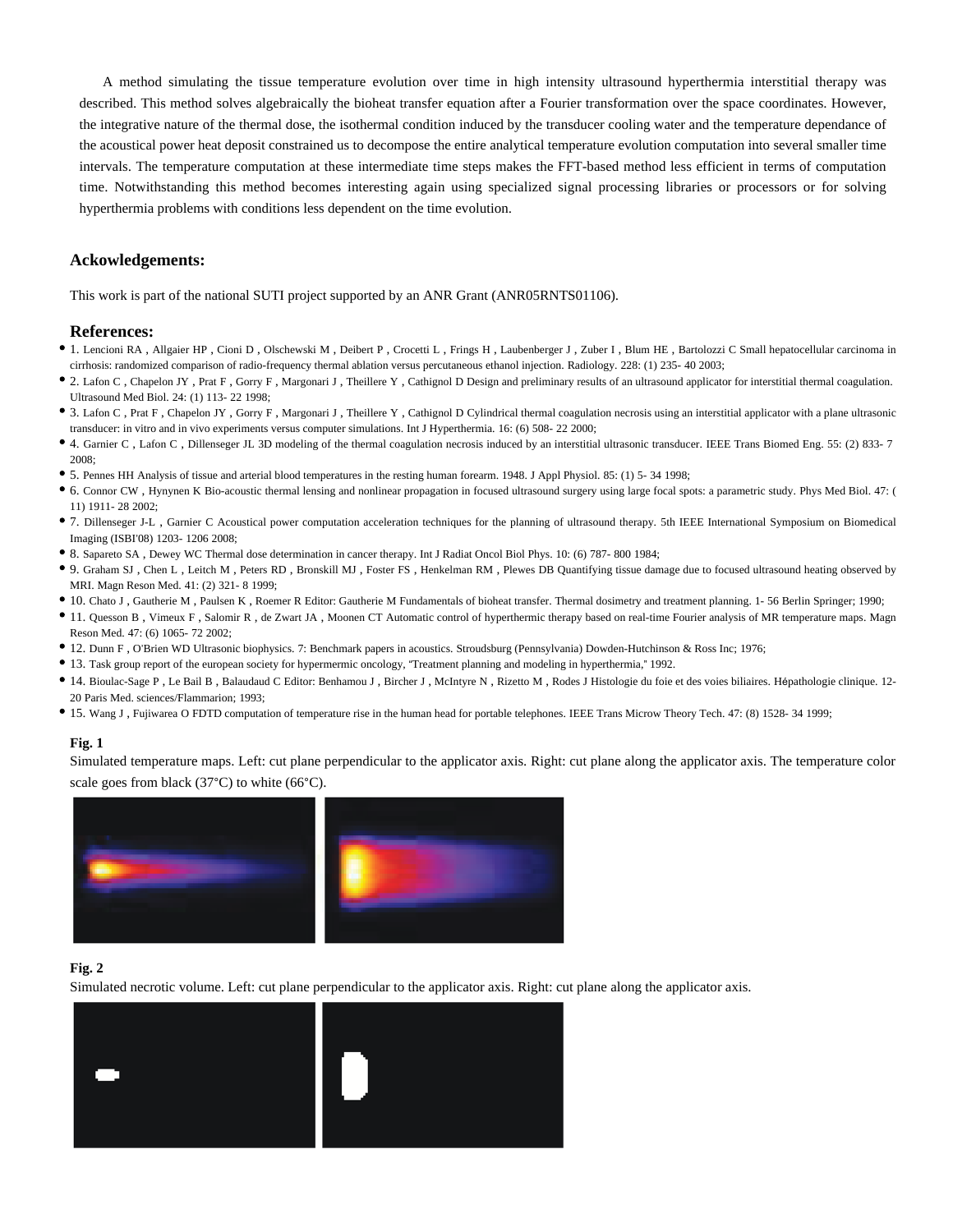A method simulating the tissue temperature evolution over time in high intensity ultrasound hyperthermia interstitial therapy was described. This method solves algebraically the bioheat transfer equation after a Fourier transformation over the space coordinates. However, the integrative nature of the thermal dose, the isothermal condition induced by the transducer cooling water and the temperature dependance of the acoustical power heat deposit constrained us to decompose the entire analytical temperature evolution computation into several smaller time intervals. The temperature computation at these intermediate time steps makes the FFT-based method less efficient in terms of computation time. Notwithstanding this method becomes interesting again using specialized signal processing libraries or processors or for solving hyperthermia problems with conditions less dependent on the time evolution.

#### **Ackowledgements:**

This work is part of the national SUTI project supported by an ANR Grant (ANR05RNTS01106).

#### **References:**

- 1. Lencioni RA , Allgaier HP , Cioni D , Olschewski M , Deibert P , Crocetti L , Frings H , Laubenberger J , Zuber I , Blum HE , Bartolozzi C Small hepatocellular carcinoma in cirrhosis: randomized comparison of radio-frequency thermal ablation versus percutaneous ethanol injection. Radiology. 228: (1) 235- 40 2003;
- 2. Lafon C , Chapelon JY , Prat F , Gorry F , Margonari J , Theillere Y , Cathignol D Design and preliminary results of an ultrasound applicator for interstitial thermal coagulation. Ultrasound Med Biol. 24: (1) 113- 22 1998;
- 3. Lafon C , Prat F , Chapelon JY , Gorry F , Margonari J , Theillere Y , Cathignol D Cylindrical thermal coagulation necrosis using an interstitial applicator with a plane ultrasonic transducer: in vitro and in vivo experiments versus computer simulations. Int J Hyperthermia. 16: (6) 508- 22 2000;
- 4. Garnier C , Lafon C , Dillenseger JL 3D modeling of the thermal coagulation necrosis induced by an interstitial ultrasonic transducer. IEEE Trans Biomed Eng. 55: (2) 833- 7 2008;
- 5. Pennes HH Analysis of tissue and arterial blood temperatures in the resting human forearm. 1948. J Appl Physiol. 85: (1) 5- 34 1998;
- 6. Connor CW , Hynynen K Bio-acoustic thermal lensing and nonlinear propagation in focused ultrasound surgery using large focal spots: a parametric study. Phys Med Biol. 47: ( 11) 1911- 28 2002;
- 7. Dillenseger J-L , Garnier C Acoustical power computation acceleration techniques for the planning of ultrasound therapy. 5th IEEE International Symposium on Biomedical Imaging (ISBI'08) 1203- 1206 2008;
- 8. Sapareto SA , Dewey WC Thermal dose determination in cancer therapy. Int J Radiat Oncol Biol Phys. 10: (6) 787- 800 1984;
- 9. Graham SJ , Chen L , Leitch M , Peters RD , Bronskill MJ , Foster FS , Henkelman RM , Plewes DB Quantifying tissue damage due to focused ultrasound heating observed by MRI. Magn Reson Med. 41: (2) 321- 8 1999;
- 10. Chato J , Gautherie M , Paulsen K , Roemer R Editor: Gautherie M Fundamentals of bioheat transfer. Thermal dosimetry and treatment planning. 1- 56 Berlin Springer; 1990;
- 11. Quesson B , Vimeux F , Salomir R , de Zwart JA , Moonen CT Automatic control of hyperthermic therapy based on real-time Fourier analysis of MR temperature maps. Magn Reson Med. 47: (6) 1065- 72 2002;
- 12. Dunn F , O'Brien WD Ultrasonic biophysics. 7: Benchmark papers in acoustics. Stroudsburg (Pennsylvania) Dowden-Hutchinson & Ross Inc; 1976;
- 13. Task group report of the european society for hypermermic oncology, "Treatment planning and modeling in hyperthermia," 1992.
- 14. Bioulac-Sage P , Le Bail B , Balaudaud C Editor: Benhamou J , Bircher J , McIntyre N , Rizetto M , Rodes J Histologie du foie et des voies biliaires. Hépathologie clinique. 12- 20 Paris Med. sciences/Flammarion; 1993;
- 15. Wang J , Fujiwarea O FDTD computation of temperature rise in the human head for portable telephones. IEEE Trans Microw Theory Tech. 47: (8) 1528- 34 1999;

#### **Fig. 1**

Simulated temperature maps. Left: cut plane perpendicular to the applicator axis. Right: cut plane along the applicator axis. The temperature color scale goes from black (37°C) to white (66°C).



#### **Fig. 2**

Simulated necrotic volume. Left: cut plane perpendicular to the applicator axis. Right: cut plane along the applicator axis.

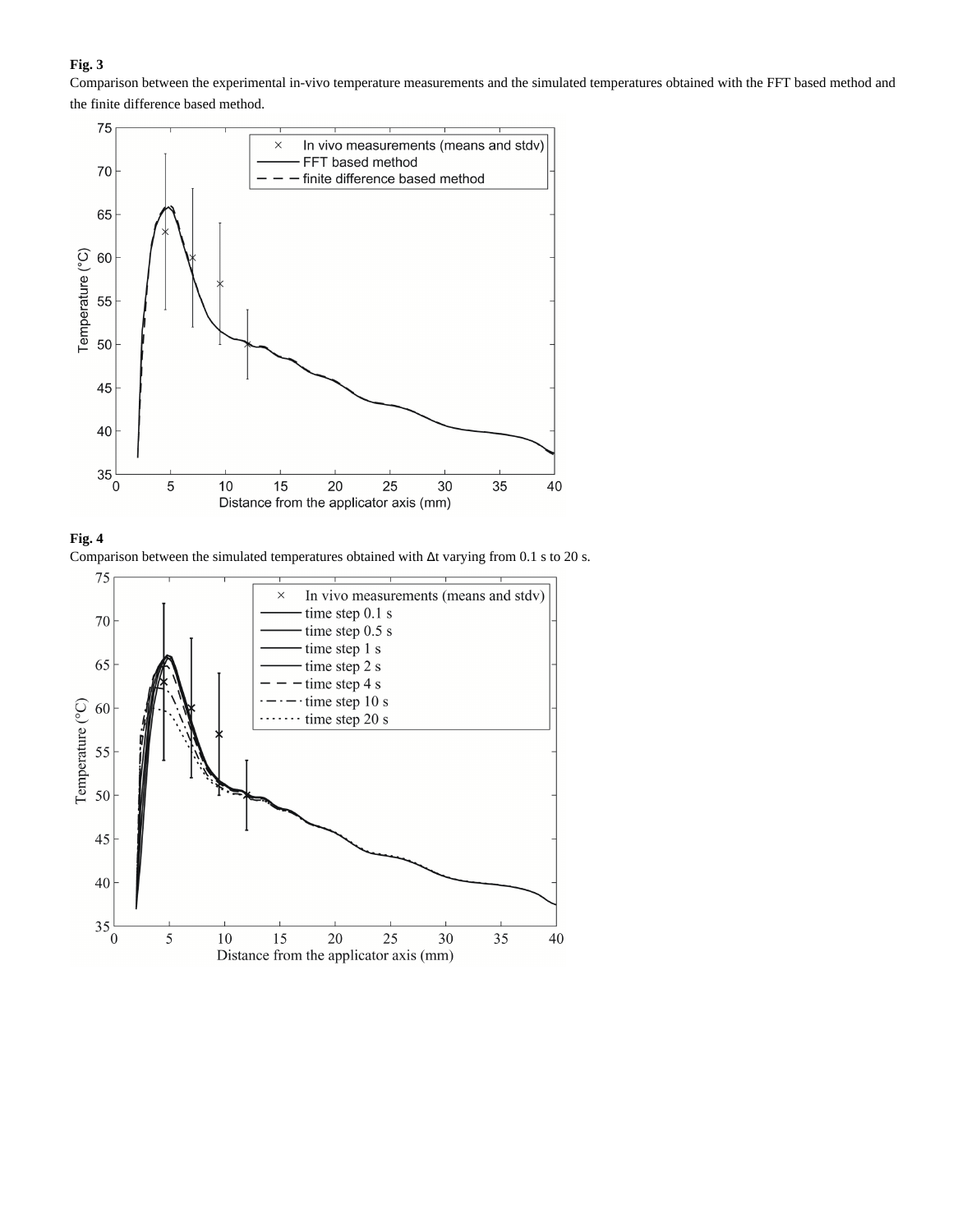### **Fig. 3**

Comparison between the experimental in-vivo temperature measurements and the simulated temperatures obtained with the FFT based method and the finite difference based method.





Comparison between the simulated temperatures obtained with Δt varying from 0.1 s to 20 s.